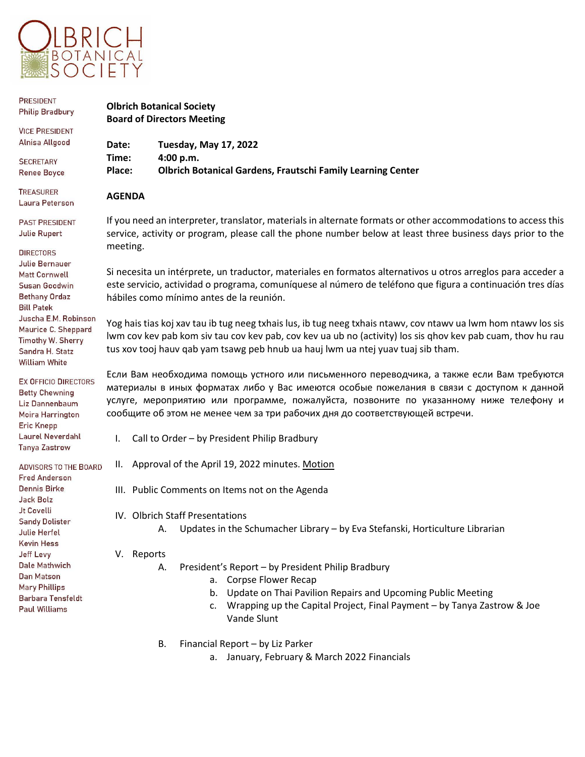

| <b>PRESIDENT</b><br><b>Philip Bradbury</b>                                                                                                                                                                                                                                     | <b>Olbrich Botanical Society</b><br><b>Board of Directors Meeting</b>                                                                                                                                                                                                                                                                                             |                                                                                                                                                                                                                                                        |  |
|--------------------------------------------------------------------------------------------------------------------------------------------------------------------------------------------------------------------------------------------------------------------------------|-------------------------------------------------------------------------------------------------------------------------------------------------------------------------------------------------------------------------------------------------------------------------------------------------------------------------------------------------------------------|--------------------------------------------------------------------------------------------------------------------------------------------------------------------------------------------------------------------------------------------------------|--|
| <b>VICE PRESIDENT</b><br>Alnisa Allgood                                                                                                                                                                                                                                        | Date:                                                                                                                                                                                                                                                                                                                                                             | <b>Tuesday, May 17, 2022</b>                                                                                                                                                                                                                           |  |
| <b>SECRETARY</b><br><b>Renee Boyce</b>                                                                                                                                                                                                                                         | Time:<br>Place:                                                                                                                                                                                                                                                                                                                                                   | 4:00 p.m.<br><b>Olbrich Botanical Gardens, Frautschi Family Learning Center</b>                                                                                                                                                                        |  |
| <b>TREASURER</b><br>Laura Peterson                                                                                                                                                                                                                                             | <b>AGENDA</b>                                                                                                                                                                                                                                                                                                                                                     |                                                                                                                                                                                                                                                        |  |
| <b>PAST PRESIDENT</b><br><b>Julie Rupert</b><br><b>DIRECTORS</b><br><b>Julie Bernauer</b>                                                                                                                                                                                      | If you need an interpreter, translator, materials in alternate formats or other accommodations to access this<br>service, activity or program, please call the phone number below at least three business days prior to the<br>meeting.                                                                                                                           |                                                                                                                                                                                                                                                        |  |
| <b>Matt Cornwell</b><br>Susan Goodwin<br><b>Bethany Ordaz</b><br><b>Bill Patek</b>                                                                                                                                                                                             | Si necesita un intérprete, un traductor, materiales en formatos alternativos u otros arreglos para acceder a<br>este servicio, actividad o programa, comuníquese al número de teléfono que figura a continuación tres días<br>hábiles como mínimo antes de la reunión.                                                                                            |                                                                                                                                                                                                                                                        |  |
| Juscha E.M. Robinson<br>Maurice C. Sheppard<br>Timothy W. Sherry<br>Sandra H. Statz<br><b>William White</b>                                                                                                                                                                    | Yog hais tias koj xav tau ib tug neeg txhais lus, ib tug neeg txhais ntawv, cov ntawv ua lwm hom ntawv los sis<br>lwm cov kev pab kom siv tau cov kev pab, cov kev ua ub no (activity) los sis ghov kev pab cuam, thov hu rau<br>tus xov tooj hauv qab yam tsawg peb hnub ua hauj lwm ua ntej yuav tuaj sib tham.                                                 |                                                                                                                                                                                                                                                        |  |
| <b>EX OFFICIO DIRECTORS</b><br><b>Betty Chewning</b><br>Liz Dannenbaum<br>Moira Harrington<br><b>Eric Knepp</b>                                                                                                                                                                | Если Вам необходима помощь устного или письменного переводчика, а также если Вам требуются<br>материалы в иных форматах либо у Вас имеются особые пожелания в связи с доступом к данной<br>услуге, мероприятию или программе, пожалуйста, позвоните по указанному ниже телефону и<br>сообщите об этом не менее чем за три рабочих дня до соответствующей встречи. |                                                                                                                                                                                                                                                        |  |
| Laurel Neverdahl<br><b>Tanya Zastrow</b>                                                                                                                                                                                                                                       | I.                                                                                                                                                                                                                                                                                                                                                                | Call to Order - by President Philip Bradbury                                                                                                                                                                                                           |  |
| <b>ADVISORS TO THE BOARD</b><br><b>Fred Anderson</b><br>Dennis Birke<br><b>Jack Bolz</b><br>Jt Covelli<br><b>Sandy Dolister</b><br>Julie Herfel<br>Kevin Hess<br>Jeff Levy<br>Dale Mathwich<br>Dan Matson<br><b>Mary Phillips</b><br>Barbara Tensfeldt<br><b>Paul Williams</b> | Ш.                                                                                                                                                                                                                                                                                                                                                                | Approval of the April 19, 2022 minutes. Motion                                                                                                                                                                                                         |  |
|                                                                                                                                                                                                                                                                                |                                                                                                                                                                                                                                                                                                                                                                   | III. Public Comments on Items not on the Agenda                                                                                                                                                                                                        |  |
|                                                                                                                                                                                                                                                                                |                                                                                                                                                                                                                                                                                                                                                                   | IV. Olbrich Staff Presentations<br>Updates in the Schumacher Library - by Eva Stefanski, Horticulture Librarian<br>А.                                                                                                                                  |  |
|                                                                                                                                                                                                                                                                                | V. Reports                                                                                                                                                                                                                                                                                                                                                        | President's Report - by President Philip Bradbury<br>Α.<br>a. Corpse Flower Recap<br>Update on Thai Pavilion Repairs and Upcoming Public Meeting<br>b.<br>Wrapping up the Capital Project, Final Payment - by Tanya Zastrow & Joe<br>c.<br>Vande Slunt |  |

- B. Financial Report by Liz Parker
	- a. January, February & March 2022 Financials